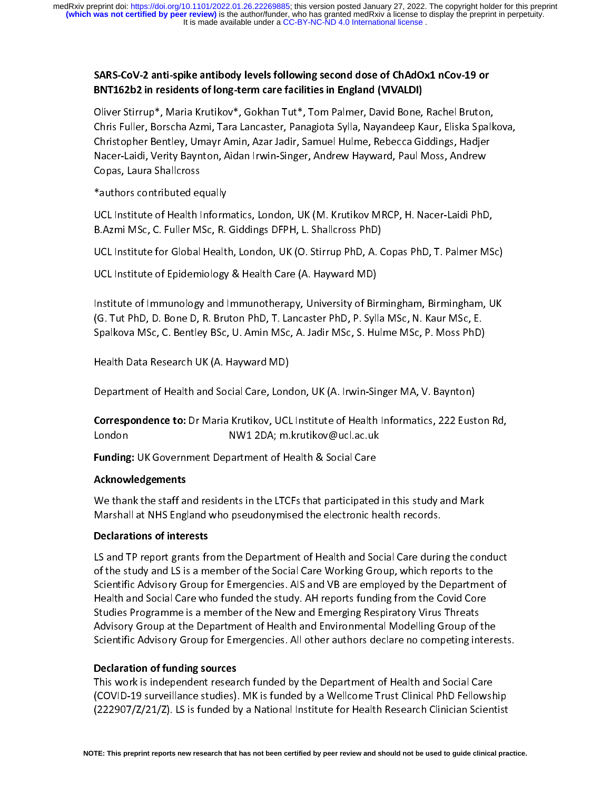# SARS-CoV-2 anti-spike antibody levels following second dose of ChAdOx1 nCov-19 or BNT162b2 in residents of long-term care facilities in England (VIVALDI)

Chris Fuller, Borscha Azmi, Tara Lancaster, Panagiota Sylla, Nayandeep Kaur, Eliska Spalk<br>Christopher Bentley, Umayr Amin, Azar Jadir, Samuel Hulme, Rebecca Giddings, Hadjer<br>Nacer-Laidi, Verity Baynton, Aidan Irwin-Singer, Christopher Bentley, Umayr Amin, Azar Jadir, Samuel Hulme, Rebecca Giddings, Hadjer<br>Nacer-Laidi, Verity Baynton, Aidan Irwin-Singer, Andrew Hayward, Paul Moss, Andrew<br>Copas, Laura Shallcross<br>\*authors contributed equally<br>UC Nacer-Laidi, Verity Baynton, Aidan Irwin-Singer, Andrew Hayward, Paul Moss, Andrew<br>Copas, Laura Shallcross<br>\*authors contributed equally<br>UCL Institute of Health Informatics, London, UK (M. Krutikov MRCP, H. Nacer-Laidi PhD,

Copas, Laura Shallcross<br>
\*authors contributed equally<br>
UCL Institute of Health Informatics, London, UK (M. Krutikov MRCP, H. Nacer-Laidi PhD<br>
B.Azmi MSc, C. Fuller MSc, R. Giddings DFPH, L. Shallcross PhD)<br>
UCL Institute f Ener, Emma Shammer<br>
\*authors contributed ed<br>
UCL Institute of Health I<br>
B.Azmi MSc, C. Fuller M<br>
UCL Institute for Global<br>
UCL Institute of Epidem

<sup>1</sup><br>UCL Institute of Health Inform<br>B.Azmi MSc, C. Fuller MSc, R.<br>UCL Institute of Epidemiology<br>Institute of Immunology and I<br>(G. Tut PhD, D. Bone D, R. Bru B.Azmi MSc, C. Fuller MSc, R. Giddings DFPH, L. Shallcross PhD)<br>UCL Institute for Global Health, London, UK (O. Stirrup PhD, A. Copas PhD, T. Palmer MS<br>UCL Institute of Epidemiology & Health Care (A. Hayward MD)<br>Institute B.A. Hammed, E. Fuller MSc, M. Balange B. F. F., B. Fuller P. F. A. C.<br>UCL Institute of Epidemiology & Health Care (A. Hayward MD)<br>Institute of Immunology and Immunotherapy, University of Birn<br>(G. Tut PhD, D. Bone D, R. Br UCL Institute of Epidemiology & Health Care (A. Hayward MD)<br>Institute of Immunology and Immunotherapy, University of Birmingham, Birmingham, UK<br>(G. Tut PhD, D. Bone D, R. Bruton PhD, T. Lancaster PhD, P. Sylla MSc, N. Kaur Institute of Immunology and Immunotherapy, University of Bir<br>(G. Tut PhD, D. Bone D, R. Bruton PhD, T. Lancaster PhD, P. Syll<br>Spalkova MSc, C. Bentley BSc, U. Amin MSc, A. Jadir MSc, S. Hu<br>Health Data Research UK (A. Haywa |<br>|<br>|<br>| Institute of Immunology and Immunology and Immunology and Immunology and Immunology and Immunology and Immuno<br>Institute of Immunology and Immunology and Immunology and Immunology and Immunology and Immunology Spalkova MSc,

Spalkova MSc, C. Bentley BSc, U. Amin MSc, A. Jadir MSc, S. Hulme MSc, P. Moss PhD)<br>Health Data Research UK (A. Hayward MD)<br>Department of Health and Social Care, London, UK (A. Irwin-Singer MA, V. Baynton)<br>Correspondence t Spalar Math Data Research UK (A. Hayward MD)<br>Department of Health and Social Care, London, UK (A. Irwin-Singer MA, V. Baynton)<br>**Correspondence to:** Dr Maria Krutikov, UCL Institute of Health Informatics, 222 Eustor<br>London |<br>|<br>|<br>| Department of Health and Social Care, Lond<br>Correspondence to: Dr Maria Krutikov, UCL<br>London MW1 2DA; m.<br>Funding: UK Government Department of He<br>Acknowledgements |<br>|<br>|<br>| Correspondence to: Dr Maria Krutikov, UCL Institute of Health Informatics, 222 Eust<br>London MW1 2DA; m.krutikov@ucl.ac.uk<br>Funding: UK Government Department of Health & Social Care<br>Acknowledgements<br>We thank the staff and res ( |<br>|<br>|<br>|

#### Acknowledgements

Correspondence to: Dr Maria Krutikov, OCC Institute of Health Informatics, 222 Euston Rd,<br>London MW1 2DA; m.krutikov@ucl.ac.uk<br>**Funding:** UK Government Department of Health & Social Care<br>**Acknowledgements**<br>We thank the sta EUNTER VINCE 2018-1999<br>
Funding: UK Government Department of Health & Social Care<br>
Acknowledgements<br>
We thank the staff and residents in the LTCFs that participated<br>
Marshall at NHS England who pseudonymised the electronic

## Declarations of interests

Funding: OK Government Department of Health & Social Care<br>Acknowledgements<br>We thank the staff and residents in the LTCFs that participated<br>Marshall at NHS England who pseudonymised the electronic h<br>Declarations of interest Marshall at NHS England who pseudonymised the electronic health records.<br>Declarations of interests<br>LS and TP report grants from the Department of Health and Social Care during the con<br>of the study and LS is a member of the Declarations of interests<br>LS and TP report grants from the Department of Health and Social Care durin<br>of the study and LS is a member of the Social Care Working Group, which rep<br>Scientific Advisory Group for Emergencies. A of the study and LS is a member of the Social Care Working Group, which reports to the<br>Scientific Advisory Group for Emergencies. AIS and VB are employed by the Department of<br>Health and Social Care who funded the study. AH Scientific Advisory Group for Emergencies. AIS and VB are employed by the Department<br>Health and Social Care who funded the study. AH reports funding from the Covid Core<br>Studies Programme is a member of the New and Emerging Health and Social Care who funded the study. AH reports funding from the Covid Core<br>Studies Programme is a member of the New and Emerging Respiratory Virus Threats<br>Advisory Group at the Department of Health and Environment Studies Programme is a member of the New and Emerging Respiratory Virus Threats<br>Advisory Group at the Department of Health and Environmental Modelling Group of th<br>Scientific Advisory Group for Emergencies. All other author

#### **Declaration of funding sources**

Expiratory Group at the Department of Health and Environmental Modelling Group of Scientific Advisory Group for Emergencies. All other authors declare no competing interaction of funding sources<br>This work is independent re Scientific Advisory Group for Emergencies. All other authors declare no competing intere<br>Declaration of funding sources<br>This work is independent research funded by the Department of Health and Social Care<br>(COVID-19 surveil Scientific Advisors of funding sources<br>
This work is independent research funded by the Department of Health and Social Care<br>
(COVID-19 surveillance studies). MK is funded by a Wellcome Trust Clinical PhD Fellowship<br>
(2229 This work is independent research funded by the Department of Health and Social Care The International Society of the Department research (COVID-19 surveillance studies). MK is funded by a Wellcome Trust Clinical PhD Fellows<br>(222907/Z/21/Z). LS is funded by a National Institute for Health Research Clinicia (222907/Z/21/Z). LS is funded by a National Institute for Health Research Clinician Scientist<br>TE: This preprint reports new research that has not been certified by peer review and should not be used to guide clinical pra<br>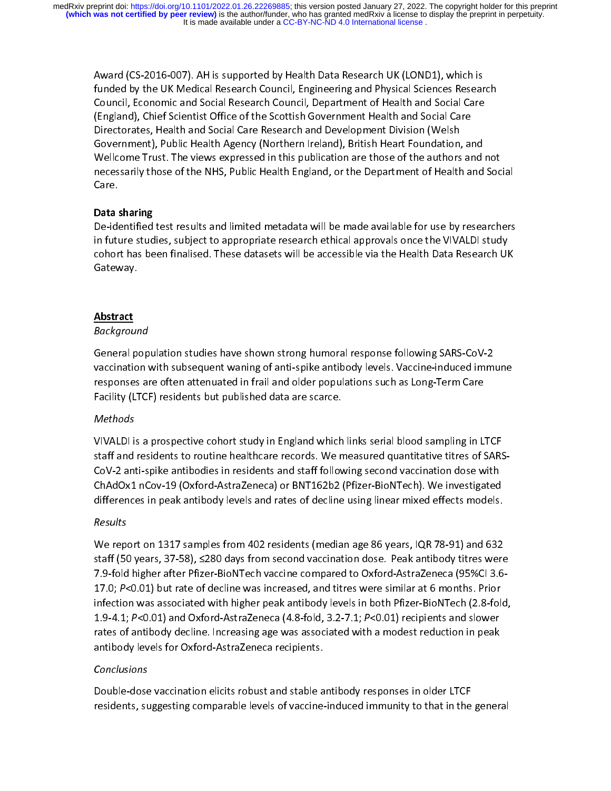funded by the UK Medical Research Council, Engineering and Physical Sciences Resear<br>Council, Economic and Social Research Council, Department of Health and Social Care<br>(England), Chief Scientist Office of the Scottish Gove Funded by Council, Economic and Social Research Council, Department of Health and Social Care (England), Chief Scientist Office of the Scottish Government Health and Social Care Directorates, Health and Social Care Researc (England), Chief Scientist Office of the Scottish Government Health and Social Care<br>Directorates, Health and Social Care Research and Development Division (Welsh<br>Government), Public Health Agency (Northern Ireland), Britis (England), Sumera, Health and Social Care Research and Development Division (Welsh<br>Government), Public Health Agency (Northern Ireland), British Heart Foundation, an<br>Wellcome Trust. The views expressed in this publication Government), Public Health Agency (Northern Ireland), British Heart Foundation,<br>Wellcome Trust. The views expressed in this publication are those of the authors<br>necessarily those of the NHS, Public Health England, or the D

Wellcome Trust. The views expressed in this publication are those of the authors and<br>necessarily those of the NHS, Public Health England, or the Department of Health and<br>Care.<br>Data sharing<br>De-identified test results and li Mension Trust. The views in present in the publication are interested in the standard mechanism encessarily those of the NHS, Public Health England, or the Department of Health and Soc<br>Care.<br>**Data sharing**<br>De-identified te necessarily masses in the NHS, Public Health England, or the Department of NHML and Care.<br>Data sharing<br>De-identified test results and limited metadata will be made available for use by researchers<br>in future studies, subjec ----<br>Data :<br>De-ide<br>in futu<br>cohor<br>Gatev<br>Abstr  $\frac{1}{2}$ Data sharing<br>De-identified test results and limited metadata will be made available for use by researchers in future studies, subject to appropriate research ethical approvals once the VIVALDI study<br>cohort has been finalised. These datasets will be accessible via the Health Data Research UK<br>Gateway.<br>Background<br>General populatio cohort has been finalised. These datasets will be accessible via the Health Data Research UI<br>Gateway.<br>Background<br>General population studies have shown strong humoral response following SARS-CoV-2<br>vaccination with subsequen

#### $\frac{765000}{6}$ Background

contributed and manufality than the accessible via the Health Data Research India<br>Gateway.<br>Background<br>General population studies have shown strong humoral response following SARS-CoV-2<br>vaccination with subsequent waning of *Abstract<br>Backgrour<br>General pexaccinatio<br>responses<br>Facility (LT* 

## Methods

vaccination with subsequent waning of anti-spike antibody levels. Vaccine-induced immersponses are often attenuated in frail and older populations such as Long-Term Care<br>Facility (LTCF) residents but published data are sca vacancies are often attenuated in frail and older populations such as Long-Term Care<br>Facility (LTCF) residents but published data are scarce.<br>Methods<br>VIVALDI is a prospective cohort study in England which links serial bloo Facility (LTCF) residents but published data are scarce.<br>
Methods<br>
VIVALDI is a prospective cohort study in England which links serial blood sampling in L<br>
staff and residents to routine healthcare records. We measured qua Facility (LTCF) residents but published data are scalents<br>Methods<br>VIVALDI is a prospective cohort study in England which<br>staff and residents to routine healthcare records. We n<br>CoV-2 anti-spike antibodies in residents and VIVET IN PREPERTON UNIVERTY IN ENGLAND METALE INTERPRETATIONS AND STARS<br>CoV-2 anti-spike antibodies in residents and staff following second vaccination dose with<br>ChAdOx1 nCov-19 (Oxford-AstraZeneca) or BNT162b2 (Pfizer-Bio

## Results

7.9-fold higher after Pfizer-BioNTech vaccine compared to Oxford-AstraZeneca (95%CI 3.6-<br>17.0; P<0.01) but rate of decline was increased, and titres were similar at 6 months. Prior ChAdOx1 nCov-19 (Oxford-AstraZeneca) or BNT162b2 (Pfizer-BioNTech). We investigated<br>differences in peak antibody levels and rates of decline using linear mixed effects models.<br>Results<br>We report on 1317 samples from 402 re Characteristic and the state of decline using linear mixed effects models.<br>
Results<br>
We report on 1317 samples from 402 residents (median age 86 years, IQR 78-91) and 632<br>
staff (50 years, 37-58), ≤280 days from second vac Results<br>We report on 1317 samples from 402 residents (median age 86 years, IQR 78-91) and 632<br>staff (50 years, 37-58), ≤280 days from second vaccination dose. Peak antibody titres were<br>7.9-fold higher after Pfizer-BioNTech staff (50 years, 37-58),  $\leq$ 280 days from second vaccination dose. Peak antibody titres were<br>7.9-fold higher after Pfizer-BioNTech vaccine compared to Oxford-AstraZeneca (95%Cl 3.6-<br>17.0; *P*<0.01) but rate of decline w state (55%Cl 3.6-<br>T.9-fold higher after Pfizer-BioNTech vaccine compared to Oxford-AstraZeneca (95%Cl 3.6-<br>17.0; P<0.01) but rate of decline was increased, and titres were similar at 6 months. Prior<br>infection was associate 17.0;  $P<0.01$ ) but rate of decline was increased, and titres were similar at 6 months. Prior<br>infection was associated with higher peak antibody levels in both Pfizer-BioNTech (2.8-fold<br>1.9-4.1;  $P<0.01$ ) and Oxford-Astra 17.0; P SO.01) but rate of decline was increased, and thres were similar at 0 months. Prior<br>infection was associated with higher peak antibody levels in both Pfizer-BioNTech (2.8-fol-<br>1.9-4.1; P<0.01) and Oxford-AstraZenec infection was also provided with a modest reduction (2.9-4.1; P<0.01) and Oxford-AstraZeneca (4.8-fold, 3.2-7.1; P<0.01) recipients and slower rates of antibody decline. Increasing age was associated with a modest reductio 1.9-4.1; P < 0.01) and Oxford-AstraZeneca (4.0-fold, 3.2-7.1; P < 0.01) recipients and slower<br>rates of antibody decline. Increasing age was associated with a modest reduction in peak<br>antibody levels for Oxford-AstraZeneca

## Conclusions

rates of antibody levels for Oxford-AstraZeneca recipients.<br>
Conclusions<br>
Double-dose vaccination elicits robust and stable antibody responses in older LTCF<br>
residents, suggesting comparable levels of vaccine-induced immun Expression conduction of the Canada respective<br>Conclusions<br>Double-dose vaccination elicits robust and stable a<br>residents, suggesting comparable levels of vaccineresidents, suggesting comparable levels of vaccine-induced immunity to that in the<br>
responses in the contract of the LTCFF and stable and stable and stable and stable and stable and stable and<br>
in the contract of the LTCFF residents, suggesting comparable levels of vaccine-induced immunity to that in the general structure.<br>The general control of vaccine-induced intervals of vaccine-induced immunity to that in the general control of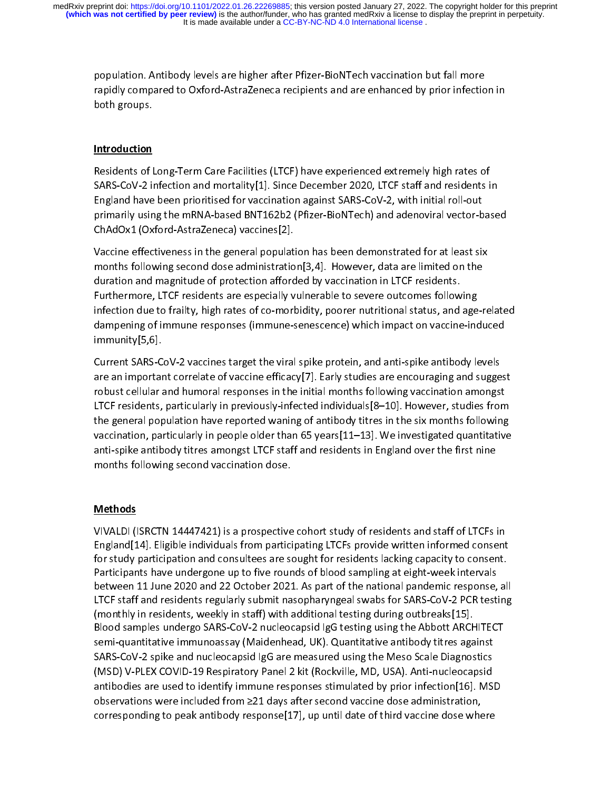# Introduction

population.<br>Trapidly compared to Oxford-AstraZeneca recipients and are enhanced by prior infection<br>both groups.<br>The sidents of Long-Term Care Facilities (LTCF) have experienced extremely high rates of<br>SARS-CoV-2 infection rapidly compared to Oxford-AstraZeneca recipients and are Oxford-AstraZeneca reports and the<br>positions of AstraZeneca recipients and are enhanced by prior inferenced<br>SARS-CoV-2 infection and mortality[1]. Since December 20 **Introduction**<br>Residents of I<br>SARS-CoV-2 ii<br>England have<br>primarily usin<br>ChAdOx1 (Ox SARS-CoV-2 infection and mortality[1]. Since December 2020, LTCF staff and residents i<br>England have been prioritised for vaccination against SARS-CoV-2, with initial roll-out<br>primarily using the mRNA-based BNT162b2 (Pfizer

England have been prioritised for vaccination against SARS-CoV-2, with initial roll-out<br>primarily using the mRNA-based BNT162b2 (Pfizer-BioNTech) and adenoviral vector-base<br>ChAdOx1 (Oxford-AstraZeneca) vaccines[2].<br>Vaccine England have been protoned for any interactor against that they, and adenoviral vector-b<br>primarily using the mRNA-based BNT162b2 (Pfizer-BioNTech) and adenoviral vector-b<br>ChAdOx1 (Oxford-AstraZeneca) vaccines[2].<br>Vaccine e primarily (Oxford-AstraZeneca) vaccines[2].<br>Vaccine effectiveness in the general population has been demonstrated for at least six<br>months following second dose administration[3,4]. However, data are limited on the<br>duration Vaccine effectiveness in the general populat<br>months following second dose administratio<br>duration and magnitude of protection afford<br>Furthermore, LTCF residents are especially v<br>infection due to frailty, high rates of co-mo months following second dose administration[3,4]. However, data are limited on the<br>duration and magnitude of protection afforded by vaccination in LTCF residents.<br>Furthermore, LTCF residents are especially vulnerable to se duration and magnitude of protection afforded by vaccination in LTCF residents.<br>Furthermore, LTCF residents are especially vulnerable to severe outcomes following<br>infection due to frailty, high rates of co-morbidity, poore Furthermore, LTCF residents are especially vulnerable to severe outcomes follow<br>infection due to frailty, high rates of co-morbidity, poorer nutritional status, and<br>dampening of immune responses (immune-senescence) which i

Furthermore, Later are especially, numerally concernate to severe the status, and age dampening of immune responses (immune-senescence) which impact on vaccine-incelline minimumity [5,6].<br>Current SARS-CoV-2 vaccines target dampening of immune responses (immune-senescence) which impact on vaccine-induced<br>immunity[5,6].<br>Current SARS-CoV-2 vaccines target the viral spike protein, and anti-spike antibody levels<br>are an important correlate of vacc demonity [5,6].<br>
Current SARS-CoV-2 vaccines target the viral spike protein, and anti-spike antibody levels<br>
are an important correlate of vaccine efficacy [7]. Early studies are encouraging and sugges<br>
robust cellular and Example, program<br>Current SARS-C<br>are an importar<br>robust cellular a<br>LTCF residents,<br>the general pop<br>vaccination, pai<br>anti-spike antib<br>months followin are an important correlate of vaccine efficacy<sup>[7]</sup>. Early studies are encouraging and sugge<br>robust cellular and humoral responses in the initial months following vaccination amongs<br>LTCF residents, particularly in previous are an inportant collular and humoral responses in the initial months following vaccination amongst<br>LTCF residents, particularly in previously-infected individuals[8–10]. However, studies from<br>the general population have r LTCF residents, particularly in previously-infected individuals[8–10]. However, studies from<br>the general population have reported waning of antibody titres in the six months following<br>vaccination, particularly in people ol LTCF residents, particularly, in previously, interesting of antibody titres in the six months following<br>the general population have reported waning of antibody titres in the six months following<br>vaccination, particularly i vaccination, particularly in people older than 65 years[11–13]. We investigated quantitative<br>anti-spike antibody titres amongst LTCF staff and residents in England over the first nine<br>months following second vaccination do

## **Methods**

anti-spike antibody titres amongst LTCF staff and residents in England over the first nine<br>months following second vaccination dose.<br>Methods<br>VIVALDI (ISRCTN 14447421) is a prospective cohort study of residents and staff of and spike and sex of vacuum of the first and residents and staff of LTCFs<br>imputs following second vaccination dose.<br>Methods<br>Fingland [14]. Eligible individuals from participating LTCFs provide written informed conser<br>for s Methods<br>VIVALDI (ISRCTN 14447421) is a prospective<br>England[14]. Eligible individuals from partici<br>for study participation and consultees are so<br>Participants have undergone up to five rour<br>between 11 June 2020 and 22 Octobe |<br>| \<br>| {<br>| { England [14]. Eligible individuals from participating LTCFs provide written informed consent<br>for study participation and consultees are sought for residents lacking capacity to consent.<br>Participants have undergone up to fi England[14]. England and consultees are sought for residents lacking capacity to consent.<br>Participants have undergone up to five rounds of blood sampling at eight-week intervals<br>between 11 June 2020 and 22 October 2021. As Participants have undergone up to five rounds of blood sampling at eight-week intervals<br>between 11 June 2020 and 22 October 2021. As part of the national pandemic response, al<br>LTCF staff and residents regularly submit naso between 11 June 2020 and 22 October 2021. As part of the national pandemic response,<br>LTCF staff and residents regularly submit nasopharyngeal swabs for SARS-CoV-2 PCR test<br>(monthly in residents, weekly in staff) with addi LTCF staff and residents regularly submit nasopharyngeal swabs for SARS-CoV-2 PCR testing<br>(monthly in residents, weekly in staff) with additional testing during outbreaks[15].<br>Blood samples undergo SARS-CoV-2 nucleocapsid (monthly in residents, weekly in staff) with additional testing during outbreaks[15].<br>Blood samples undergo SARS-CoV-2 nucleocapsid IgG testing using the Abbott ARCHITECT<br>semi-quantitative immunoassay (Maidenhead, UK). Qua (monthly in resident and all go SARS-CoV-2 nucleocapsid IgG testing using the Abbott ARCI<br>semi-quantitative immunoassay (Maidenhead, UK). Quantitative antibody titres age<br>SARS-CoV-2 spike and nucleocapsid IgG are measured semi-quantitative immunoassay (Maidenhead, UK). Quantitative antibody titres against<br>SARS-CoV-2 spike and nucleocapsid IgG are measured using the Meso Scale Diagnostics<br>(MSD) V-PLEX COVID-19 Respiratory Panel 2 kit (Rockvi SARS-CoV-2 spike and nucleocapsid IgG are measured using the Meso Scale Diagnostics (MSD) V-PLEX COVID-19 Respiratory Panel 2 kit (Rockville, MD, USA). Anti-nucleocapsid antibodies are used to identify immune responses st (MSD) V-PLEX COVID-19 Respiratory Panel 2 kit (Rockville, MD, USA). Anti-nucleocapsid<br>antibodies are used to identify immune responses stimulated by prior infection[16]. MSI<br>observations were included from ≥21 days after (MSD) antibodies are used to identify immune responses stimulated by prior infection[16]. MS<br>observations were included from 221 days after second vaccine dose administration,<br>corresponding to peak antibody response[17], u and the total in the state of the internal temperature infection, problem in the subservations were included from 221 days after second vaccine dose administration, corresponding to peak antibody response [17], up until da  $\overline{\text{corresponding}}$  to peak antibody response[17], up until date of third vaccine dose where  $\overline{\text{corresponded}}$ corresponding to peak antibody response  $\mathcal{I}_1$ , up until date of third vacanties where where we are presented on the set of third vacanties where  $\mathcal{I}_2$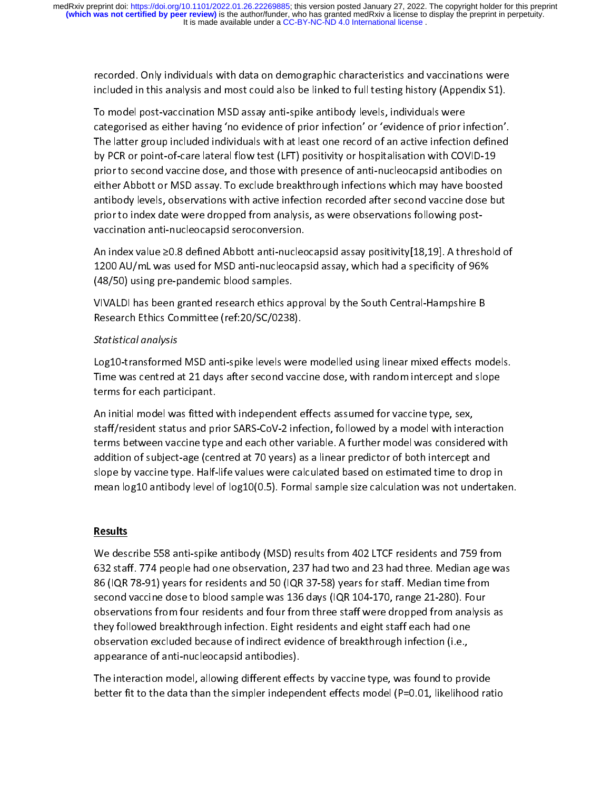included in this analysis and most could also be linked to full testing history (Appendix S1).<br>To model post-vaccination MSD assay anti-spike antibody levels, individuals were<br>categorised as either having 'no evidence of p To model post-vaccination MSD assay anti-spike antibody levels, individuals were<br>categorised as either having 'no evidence of prior infection' or 'evidence of prior infection'.<br>The latter group included individuals with at The latter provident having 'no evidence of prior infection' or 'evidence of prior in<br>The latter group included individuals with at least one record of an active infection<br>by PCR or point-of-care lateral flow test (LFT) po The latter group included individuals with at least one record of an active infection defined<br>by PCR or point-of-care lateral flow test (LFT) positivity or hospitalisation with COVID-19<br>prior to second vaccine dose, and th by PCR or point-of-care lateral flow test (LFT) positivity or hospitalisation with COVID-19<br>prior to second vaccine dose, and those with presence of anti-nucleocapsid antibodies on<br>either Abbott or MSD assay. To exclude b prior to second vaccine dose, and those with presence of anti-nucleocapsid antibodies of either Abbott or MSD assay. To exclude breakthrough infections which may have boosterantibody levels, observations with active infect price antibody levels, observations with active infection recorded after second vaccine dose but<br>antibody levels, observations with active infection recorded after second vaccine dose but<br>prior to index date were dropped f antibody levels, observations with active infection recorded after second vaccine dose but<br>prior to index date were dropped from analysis, as were observations following post-<br>vaccination anti-nucleocapsid seroconversion.

minitedly teresty extended a minimited metallication records into the area protons to index date were dropped from analysis, as were observations following post-<br>vaccination anti-nucleocapsid seroconversion.<br>An index value An index value 20.8 defined Abbott anti-nucleocap<br>1200 AU/mL was used for MSD anti-nucleocap<br>(48/50) using pre-pandemic blood samples.<br>VIVALDI has been granted research ethics appr<br>Research Ethics Committee (ref:20/SC/0238 An independent and the state of product and the specificity of 96%<br>(48/50) using pre-pandemic blood samples.<br>(48/50) using pre-pandemic blood samples.<br>VIVALDI has been granted research ethics approval by the South Central-

# prior to index date were dropped from analysis, as were observations following post-Statistical analysis

(48/50) using pre-pandemic blood samples.<br>
VIVALDI has been granted research ethics approval by the South Central-Hampshire B<br>
Research Ethics Committee (ref:20/SC/0238).<br>
Statistical analysis<br>
Log10-transformed MSD anti-s (1990) along pre-pandemic blood samples.<br>
VIVALDI has been granted research ethics ap<br>
Research Ethics Committee (ref:20/SC/0238<br>
Statistical analysis<br>
Log10-transformed MSD anti-spike levels we<br>
Time was centred at 21 day VIVALE THE RESEARCH ETHICLE THE PRESSURE, THE SOUTH DURIT PRESSURE RESEARCH Ethics Committee (ref:20/SC/0238).<br>
Statistical analysis<br>
Log10-transformed MSD anti-spike levels were modelled using linear mixed effects mo<br>
Tim Research Ethics Committee (ref:20/30/0238).<br>Statistical analysis<br>Log10-transformed MSD anti-spike levels were<br>Time was centred at 21 days after second vace<br>terms for each participant.<br>An initial model was fitted with indep

Time was centred at 21 days after second vaccine dose, with random intercept and slope<br>terms for each participant.<br>An initial model was fitted with independent effects assumed for vaccine type, sex,<br>staff/resident status a The master of the attention at 21 days after the same of the attention at 21 pc sex, that independent effects assumed for vaccine type, sex, staff/resident status and prior SARS-CoV-2 infection, followed by a model with in An initial model was fitted v<br>staff/resident status and pr<br>terms between vaccine typ<br>addition of subject-age (cer<br>slope by vaccine type. Half-<br>mean log10 antibody level staff/resident status and prior SARS-CoV-2 infection, followed by a model with inter<br>terms between vaccine type and each other variable. A further model was consider<br>addition of subject-age (centred at 70 years) as a linea terms between vaccine type and each other variable. A further model was considered with<br>addition of subject-age (centred at 70 years) as a linear predictor of both intercept and<br>slope by vaccine type. Half-life values were addition of subject-age (centred at 70 years) as a linear predictor of both intercept and<br>slope by vaccine type. Half-life values were calculated based on estimated time to drop in<br>mean log10 antibody level of log10(0.5).

# **Results**

slope by vaccine type. Half-life values were calculated based on estimated time to drop<br>mean log10 antibody level of log10(0.5). Formal sample size calculation was not undert<br>Results<br>We describe 558 anti-spike antibody (MS slope by vacance type. Half-life values were calculated and sumple in example in the life values were an log10 antibody level of log10(0.5). Formal sample size calculation was not undertaked and time to describe 558 anti-s Results<br>We describe 558 anti-spike antibody (MSD) results from 402 LTCF residents and 759 from<br>632 staff. 774 people had one observation, 237 had two and 23 had three. Median age was<br>86 (IQR 78-91) years for residents and 632 staff. 774 people had one observation, 237 had two and 23 had three. Median age wa<br>86 (IQR 78-91) years for residents and 50 (IQR 37-58) years for staff. Median time from<br>second vaccine dose to blood sample was 136 day 86 (IQR 78-91) years for residents and 50 (IQR 37-58) years for staff. Median time from<br>second vaccine dose to blood sample was 136 days (IQR 104-170, range 21-280). Four<br>observations from four residents and four from thre 19 (IQR 104-170, Time to blood sample was 136 days (IQR 104-170, range 21-280). Four<br>second vaccine dose to blood sample was 136 days (IQR 104-170, range 21-280). Four<br>observations from four residents and four from three s second vacations from four residents and four from three staff were dropped from analysity<br>they followed breakthrough infection. Eight residents and eight staff each had one<br>observation excluded because of indirect evidenc they followed breakthrough infection. Eight residents and eight staff each had one<br>observation excluded because of indirect evidence of breakthrough infection (i.e.,<br>appearance of anti-nucleocapsid antibodies).<br>The interac observation excluded because of indirect evidence of breakthrough infection (i.e.,<br>appearance of anti-nucleocapsid antibodies).<br>The interaction model, allowing different effects by vaccine type, was found to prov<br>better fi

appearance of anti-nucleocapsid antibodies).<br>The interaction model, allowing different effects by vaccine type, was found to pro<br>better fit to the data than the simpler independent effects model (P=0.01, likelihoo<br>deter f The interaction model, allowing different effe<br>better fit to the data than the simpler indeper<br>indeper  $T$  is interaction model, and the implementation  $\mathcal{L}_f$  ( $\mathcal{L}_f$ ) is the following provide the fects model (P=0.01, likelihood rate<br>better fit to the data than the simpler independent effects model (P=0.01, likelihoo better fit to the data than the simpler independent effects model (P=0.01, likelihood ratio)<br>The simpler independent effects model (P=0.01, likelihood ratio)<br>The simpler independent effects model (P=0.01, likelihood ratio)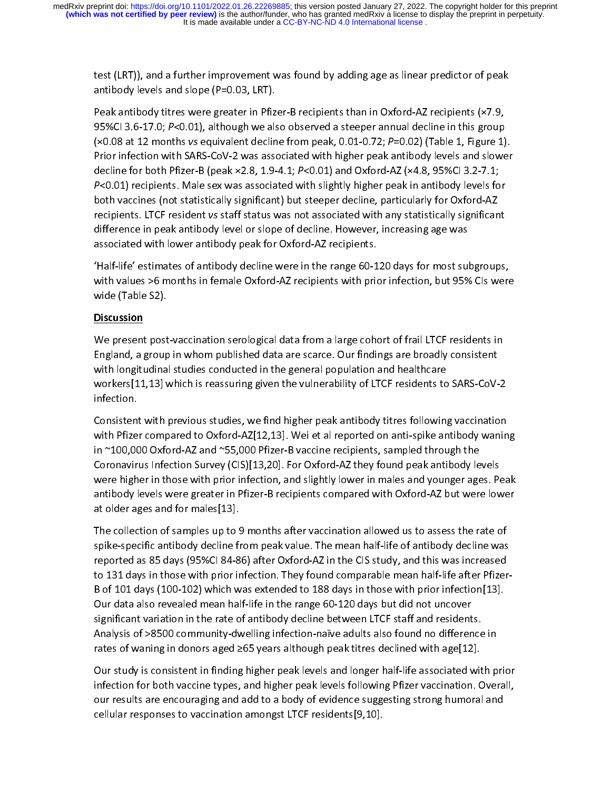antibody levels and slope (P=0.03, LRT).<br>Peak antibody titres were greater in Pfizer-B recipients than in Oxford-AZ recipients (×7.9,<br>95%Cl 3.6-17.0; P<0.01), although we also observed a steeper annual decline in this gro Peak antibody titres were greater in Pfiz<br>95%Cl 3.6-17.0;  $P<0.01$ ), although we als<br>(×0.08 at 12 months vs equivalent declin<br>Prior infection with SARS-CoV-2 was assed<br>decline for both Pfizer-B (peak ×2.8, 1.9-<br> $P<0.01$ ) 95%Cl 3.6-17.0; P<0.01), although we also observed a steeper annual decline in this group<br>(×0.08 at 12 months vs equivalent decline from peak, 0.01-0.72; P=0.02) (Table 1, Figure 1)<br>Prior infection with SARS-CoV-2 was asso (×0.08 at 12 months vs equivalent decline from peak, 0.01-0.72;  $P=0.02$ ) (Table 1, Figure 1).<br>Prior infection with SARS-CoV-2 was associated with higher peak antibody levels and slower<br>decline for both Pfizer-B (peak ×2. (×0.08 at 12 months vs equivalent decline from peak, 0.01-0.72, 7 –0.02) (Table 1, Figure 1).<br>Prior infection with SARS-CoV-2 was associated with higher peak antibody levels and slower<br>decline for both Pfizer-B (peak ×2.8, decline for both Pfizer-B (peak ×2.8, 1.9-4.1; P<0.01) and Oxford-AZ (×4.8, 95%Cl 3.2-7.1;<br>P<0.01) recipients. Male sex was associated with slightly higher peak in antibody levels for<br>both vaccines (not statistically signi decline for both Pizer-B (peak ×2.8, 1.3-4.1; P <0.01) and Oxford-AZ (×4.8, 3336CF3.2-7.1;<br>P<0.01) recipients. Male sex was associated with slightly higher peak in antibody levels fo<br>both vaccines (not statistically signif Protocy recipients. Male sex was associated with slightly higher peak in antibody levels for<br>both vaccines (not statistically significant) but steeper decline, particularly for Oxford-AZ<br>recipients. LTCF resident vs staff both vaccines (not statistically significant vaccines) parametery parametery per decline.<br>
recipients. LTCF resident vs staff status was not associated with any statistically significant<br>
difference in peak antibody level

recipients. LTCF resident vs starf status was not associated with any statistically significant<br>difference in peak antibody level or slope of decline. However, increasing age was<br>associated with lower antibody peak for Oxf difference in the range of antibody peak for Oxford-AZ recipients.<br>
"Half-life" estimates of antibody decline were in the range 60-120 days for most sul<br>
with values >6 months in female Oxford-AZ recipients with prior infe The "Half-life" estimates of antibody decline were in the range 60-1<br>The with values >6 months in female Oxford-AZ recipients with pric<br>We (Table S2).<br>We present post-vaccination serological data from a large cohe

#### **Discussion**

With values >6 months in female Oxford-AZ recipients with prior infection, but 95% CIs were<br>Wide (Table S2).<br>Discussion<br>We present post-vaccination serological data from a large cohort of frail LTCF residents in<br>England, a wide (Table S2).<br>
Discussion<br>
We present post-vaccination serological data from a large cohort of frail LTCF residents in<br>
England, a group in whom published data are scarce. Our findings are broadly consistent<br>
with longi wide (Table S2).<br>
Discussion<br>
We present post-vaccination serological data from a large cohort of frail LTCF residents in<br>
England, a group in whom published data are scarce. Our findings are broadly consistent<br>
with longi England, a group in whom published data are scarce. Our findings are broadly consistent<br>with longitudinal studies conducted in the general population and healthcare<br>workers[11,13] which is reassuring given the vulnerabilit with longitudinal studies conducted in the general population and healthcare<br>workers[11,13] which is reassuring given the vulnerability of LTCF residents to SARS-CoV-<br>infection.<br>Consistent with previous studies, we find hi

workers[11,13] which is reassuring given the vulnerability of LTCF residents to<br>infection.<br>Consistent with previous studies, we find higher peak antibody titres following<br>with Pfizer compared to Oxford-AZ[12,13]. Wei et al Consistent with previous studies, we find higher peak antibody titres following vaccination<br>with Pfizer compared to Oxford-AZ[12,13]. Wei et al reported on anti-spike antibody waning<br>in ~100,000 Oxford-AZ and ~55,000 Pfiz Consistent<br>with Pfize<br>in ~100,00<br>Coronaviri<br>were high<br>antibody l with Pfizer compared to Oxford-AZ[12,13]. Wei et al reported on anti-spike antibody wanin<br>in ~100,000 Oxford-AZ and ~55,000 Pfizer-B vaccine recipients, sampled through the<br>Coronavirus Infection Survey (CIS)[13,20]. For Ox in ~100,000 Oxford-AZ and ~55,000 Pfizer-B vaccine recipients, sampled through the<br>Coronavirus Infection Survey (CIS)[13,20]. For Oxford-AZ they found peak antibody levels<br>were higher in those with prior infection, and sli Intertional Intertional Coronavirus (CIS) [13,20]. For Oxford-AZ they found peak antibody left were higher in those with prior infection, and slightly lower in males and younger age antibody levels were greater in Pfizer-B Coronavirus Infection Coronavirus Infection, and slightly lower in males and younger ages. Peartibody levels were greater in Pfizer-B recipients compared with Oxford-AZ but were low<br>at older ages and for males[13].<br>The col

were mgate in those wineptot interesting and slightly lower in that to any one get us and infided provided and<br>antibody levels were greater in Pfizer-B recipients compared with Oxford-AZ but were lower<br>at older ages and fo at older ages and for males[13].<br>The collection of samples up to 9 months after vaccination allowed us to assess the rate of<br>spike-specific antibody decline from peak value. The mean half-life of antibody decline was<br>repor The collection of samples up to Spike-specific antibody decline freported as 85 days (95%Cl 84-8<br>to 131 days in those with prior ir<br>B of 101 days (100-102) which w<br>Our data also revealed mean hal spike-specific antibody decline from peak value. The mean half-life of antibody decline was<br>reported as 85 days (95%Cl 84-86) after Oxford-AZ in the CIS study, and this was increased<br>to 131 days in those with prior infecti reported as 85 days (95%CI 84-86) after Oxford-AZ in the CIS study, and this was increased<br>to 131 days in those with prior infection. They found comparable mean half-life after Pfizer-<br>B of 101 days (100-102) which was ext reported as 85 of 101 days in those with prior infection. They found comparable mean half-life after Pfizer<br>B of 101 days (100-102) which was extended to 188 days in those with prior infection[13].<br>Our data also revealed m B our data also revealed mean half-life in the range 60-120 days but did not uncover<br>significant variation in the rate of antibody decline between LTCF staff and residents.<br>Analysis of >8500 community-dwelling infection-na Significant variation in the rate of antibody decline between LTCF staff and resident<br>Analysis of >8500 community-dwelling infection-naïve adults also found no differen<br>rates of waning in donors aged ≥65 years although pea

Our study is consistent in finding higher peak levels and longer half-life associated with prior  $\,$ Analysis of >8500 community-dwelling infection-naïve adults also found no difference<br>rates of waning in donors aged ≥65 years although peak titres declined with age[12].<br>Our study is consistent in finding higher peak leve Analysis of waning in donors aged 265 years although peak titres declined with age[12].<br>
Our study is consistent in finding higher peak levels and longer half-life associated with p<br>
infection for both vaccine types, and h our study is consistent in finding higher peak levels and longer half-life associated wit<br>infection for both vaccine types, and higher peak levels following Pfizer vaccination. Cour results are encouraging and add to a bod Infection for both vaccine types, and higher peak levels following Pfizer vaccination. Overall,<br>our results are encouraging and add to a body of evidence suggesting strong humoral and<br>cellular responses to vaccination amon our results are encouraging and add to a body of evidence suggesting strong humoral and<br>cellular responses to vaccination amongst LTCF residents[9,10].<br> $\frac{1}{2}$  $\sum_{n=0}^{\infty}$  cellular responses to vaccination amongst LTCF residents [9,10]. cellular responses to vaccination amongst LTCF residents.<br>The vaccination amongst LTCF residents and the vaccination amongst LTCF residents and the vaccination amongst<br>The vaccination amongst LTCF residents and the vaccina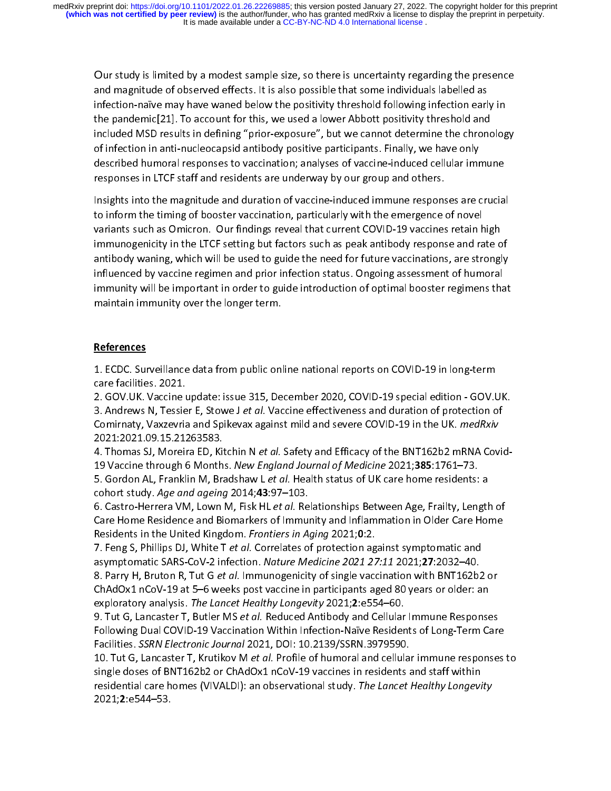Our study is limited by a modest sample size, so there is uncertainty regarding the presence and magnitude of observed effects. It is also possible that some individuals labelled as<br>infection-naïve may have waned below the positivity threshold following infection early in<br>the pandemic[21]. To account for this, we infection-name and prother may perform, present to entity, increasing interesting the pandemic[21]. To account for this, we used a lower Abbott positivity threshold and included MSD results in defining "prior-exposure", bu the pandemic pandemic of this, we have a located positive procedure included MSD results in defining "prior-exposure", but we cannot determine the chronoof infection in anti-nucleocapsid antibody positive participants. Fin influential matrix in the compact of infection in anti-nucleocapsid antibody positive participants. Finally, we have only described humoral responses to vaccination; analyses of vaccine-induced cellular immune responses in

described humoral responses to vaccination; analyses of vaccine-induced cellular imm<br>responses in LTCF staff and residents are underway by our group and others.<br>Insights into the magnitude and duration of vaccine-induced i responses in LTCF staff and residents are underway by our group and others.<br>Insights into the magnitude and duration of vaccine-induced immune responses are crucia<br>to inform the timing of booster vaccination, particularly responsing in the magnitude and duration of vaccine-induced immune respons<br>to inform the timing of booster vaccination, particularly with the emergence of<br>variants such as Omicron. Our findings reveal that current COVID-19 Insight and the magnitude and anti-time matter interaction the emergence of novel<br>Inform the timing of booster vaccination, particularly with the emergence of novel<br>Variants such as Omicron. Our findings reveal that curren variants such as Omicron. Our findings reveal that current COVID-19 vaccines retain high<br>immunogenicity in the LTCF setting but factors such as peak antibody response and rate of<br>antibody waning, which will be used to guid immunogenicity in the LTCF setting but factors such as peak antibody response and rate o<br>antibody waning, which will be used to guide the need for future vaccinations, are strongl<br>influenced by vaccine regimen and prior in antibody waning, which will be used to guide the need for future vaccinations, are strongly influenced by vaccine regimen and prior infection status. Ongoing assessment of humoral<br>immunity will be important in order to guide introduction of optimal booster regimens that<br>maintain immunity over the longer term.<br>Ref immunity will be important in order to guide introduction of optimal booster regimens that<br>maintain immunity over the longer term.<br>References<br>1. ECDC. Surveillance data from public online national reports on COVID-19 in lo

## References

maintain immunity over the longer term.<br> **References**<br>
1. ECDC. Surveillance data from public online national reports on COVID-19 in long-term<br>
care facilities. 2021. maintain in the location<br> **Materian in the location in the longer of the longer term.**<br>
The low-longer term is the location<br>
The location in the location in the location of the location<br>
The location is the location of the

 Care facilities. 2021.<br>2. GOV.UK. Vaccine update: issue 315, December 2020, COVID-19 special edition - GOV.U<br>3. Andrews N, Tessier E, Stowe J *et al.* Vaccine effectiveness and duration of protection of<br>Comirnaty, Vaxzevri 2. GOV.UK. Vaccine 1<br>3. Andrews N, Tessie<br>Comirnaty, Vaxzevria<br>2021:2021.09.15.21:<br>4. Thomas SJ, Moreii<br>19 Vaccine through (

3. Andrews N, Tessier E, Stowe J *et al.* Vaccine effectiveness and duration of protection of<br>Comirnaty, Vaxzevria and Spikevax against mild and severe COVID-19 in the UK. *medRxiv*<br>2021:2021.09.15.21263583.<br>4. Thomas SJ, 3. Andrews N, Tessier E, Stowe Jet al. Vacchie enectiveness and duration of protection of<br>Comirnaty, Vaxzevria and Spikevax against mild and severe COVID-19 in the UK. *medRxiv*<br>2021:2021.09.15.21263583.<br>4. Thomas SJ, More Commaty, vaxzevria and Spikevax against mild and severe COVID-19 in the OK: *Medikali*<br>2021:2021.09.15.21263583.<br>4. Thomas SJ, Moreira ED, Kitchin N *et al.* Safety and Efficacy of the BNT162b2 mRNA Cov<br>19 Vaccine through 4. Thomas SJ, Moreira ED, Kit<br>19 Vaccine through 6 Month<br>5. Gordon AL, Franklin M, Bra<br>cohort study. Age and ageing<br>6. Castro-Herrera VM, Lown<br>Care Home Residence and Bi<br>Residents in the United Kingo 4. Thomas 33, Morena ED, Kitchin Net al. Safety and Efficacy of the BNT162b2 minix Covid-<br>19 Vaccine through 6 Months. New England Journal of Medicine 2021;385:1761–73.<br>5. Gordon AL, Franklin M, Bradshaw L et al. Health st

19 Vaccine through 6 Months. Wew England Journal by Medicine 2021,383:1701–73.<br>5. Gordon AL, Franklin M, Bradshaw L et al. Health status of UK care home residents:<br>cohort study. Age and ageing 2014;43:97–103.<br>6. Castro-Her 5. Gordon AL, Franklin M, Bradshaw Let di. Health status of OK care home residents. a<br>cohort study. Age and ageing 2014;43:97–103.<br>6. Castro-Herrera VM, Lown M, Fisk HL *et al.* Relationships Between Age, Frailty, Length<br>C conort study. Age and ageing 2014;43:97–103.<br>6. Castro-Herrera VM, Lown M, Fisk HL *et al.* Re<br>Care Home Residence and Biomarkers of Immu<br>Residents in the United Kingdom. *Frontiers in A*!<br>7. Feng S, Phillips DJ, White T

6. Castro-Herrera VM, Lown M, Fisk HL et al. Relationships Between Age, Francy, Length of<br>Care Home Residence and Biomarkers of Immunity and Inflammation in Older Care Home<br>Residents in the United Kingdom. *Frontiers in Ag* Residents in the United Kingdom. *Frontiers in Aging* 2021;**0**:2.<br>7. Feng S, Phillips DJ, White T *et al.* Correlates of protection against symptomatic and<br>asymptomatic SARS-CoV-2 infection. *Nature Medicine 2021 27:11* 20 Residents in the Officer Kingdom. Frontiers in Aging 2021,0:2.<br>7. Feng S, Phillips DJ, White T *et al.* Correlates of protection ag<br>asymptomatic SARS-CoV-2 infection. *Nature Medicine 2021 27*<br>8. Parry H, Bruton R, Tut G

7. Feng S, Frimps DJ, Wille Tet al. Correlates of protection against symptomatic and<br>asymptomatic SARS-CoV-2 infection. *Nature Medicine 2021 27:11* 2021;27:2032–40.<br>8. Parry H, Bruton R, Tut G *et al.* Immunogenicity of s asymptomatic SARS-CoV-2 infection. *Nuture Medicine* 2021 27:11 2021,27:2032–40.<br>8. Parry H, Bruton R, Tut G *et al.* Immunogenicity of single vaccination with BNT162b2<br>ChAdOx1 nCoV-19 at 5–6 weeks post vaccine in particip 8. Parry H, Bruton R, Tat G et al. Immanogenerty of single vaccination with BNT162b2 or<br>ChAdOx1 nCoV-19 at 5–6 weeks post vaccine in participants aged 80 years or older: an<br>exploratory analysis. The Lancet Healthy Longevit

exploratory analysis. *The Lancet Healthy Longevity* 2021;2:e554–60.<br>9. Tut G, Lancaster T, Butler MS *et al.* Reduced Antibody and Cellular Immune Response<br>Following Dual COVID-19 Vaccination Within Infection-Naïve Reside exploratory analysis. The Lancet Treatiny Longevity 2021, 2:e554–60.<br>9. Tut G, Lancaster T, Butler MS *et al.* Reduced Antibody and Cellular<br>Following Dual COVID-19 Vaccination Within Infection-Naïve Resider<br>Facilities. SS 9. Tut G, Lancaster T, Butler MS et al. Reduced Antibody and Cellular Immune Responses<br>Following Dual COVID-19 Vaccination Within Infection-Naïve Residents of Long-Term Care<br>Facilities. SSRN Electronic Journal 2021, DOI: 1 Facilities. *SSRN Electronic Journal* 2021, DOI: 10.2139/SSRN.3979590.<br>10. Tut G, Lancaster T, Krutikov M *et al.* Profile of humoral and cellular immune responses<br>single doses of BNT162b2 or ChAdOx1 nCoV-19 vaccines in re Facilities. SSRN Electronic Journal 2021, DOI: 10.2139/SSRN.3979990.<br>10. Tut G, Lancaster T, Krutikov M *et al.* Profile of humoral and cellula<br>single doses of BNT162b2 or ChAdOx1 nCoV-19 vaccines in residents a<br>residentia 10. Tut G, Lancaster T, Krutikov Wret al. Trolle of humoral and cellular immune responses to<br>single doses of BNT162b2 or ChAdOx1 nCoV-19 vaccines in residents and staff within<br>residential care homes (VIVALDI): an observati single doses of BNT162b2 or ChAdOx1 nCoV-19 vaccines in residents and staff within<br>residential care homes (VIVALDI): an observational study. *The Lancet Healthy Longevity*<br>2021;**2**:e544–53. residential care homes (VIVALDI): an observational study. *The Lancet Healthy Longevity*<br>2021;2:e544–53. 2021;2:e544–53.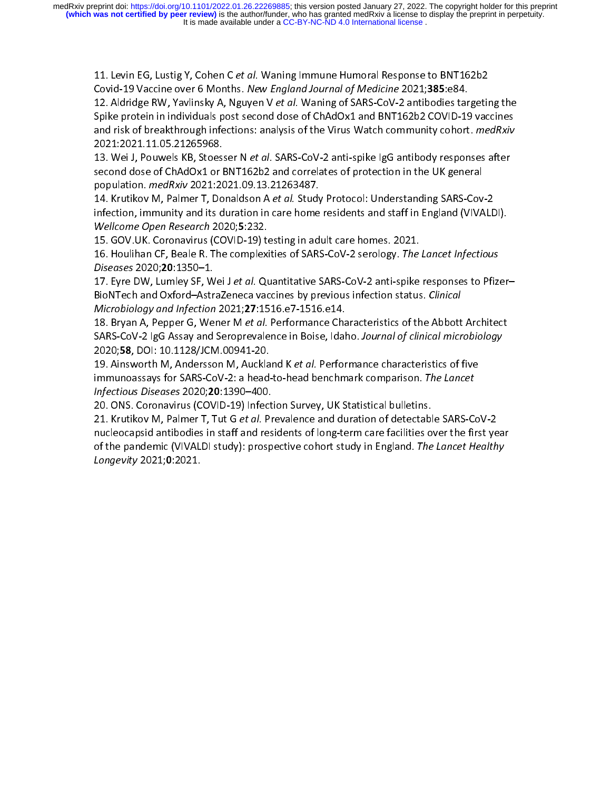11. Levin Ed, Lustig 1, Cohen C et al. Wannig immune Humoral Response to BNT162b2<br>Covid-19 Vaccine over 6 Months. New England Journal of Medicine 2021;385:e84.<br>12. Aldridge RW, Yavlinsky A, Nguyen V et al. Waning of SARS-C Covid-19 vaccine over 6 Months. New England Journal by Medicine 2021;383:e84.<br>12. Aldridge RW, Yavlinsky A, Nguyen V *et al.* Waning of SARS-CoV-2 antibodies tar<br>Spike protein in individuals post second dose of ChAdOx1 and 12. Aldridge RW, Yavinisky A, Nguyen V et al. Wannig of SARS-CoV-2 antibodies targeting the<br>Spike protein in individuals post second dose of ChAdOx1 and BNT162b2 COVID-19 vaccines<br>and risk of breakthrough infections: analy

France is and risk of breakthrough infections: analysis of the Virus Watch community cohort. *medRxiv*<br>2021:2021.11.05.21265968.<br>13. Wei J, Pouwels KB, Stoesser N *et al.* SARS-CoV-2 anti-spike IgG antibody responses after

and risk of breakthrough infections: analysis of the Virus Watch community conort. *Ineurall*<br>2021:2021.11.05.21265968.<br>13. Wei J, Pouwels KB, Stoesser N *et al.* SARS-CoV-2 anti-spike IgG antibody responses after<br>second d 2021:2021.11.05.21265968.<br>
13. Wei J, Pouwels KB, Stoesser N *et al.* SARS-CoV-2 anti-spike IgG antibody responses after<br>
second dose of ChAdOx1 or BNT162b2 and correlates of protection in the UK general<br>
population. *medR* 13. Wei J, Pouwels Kb, Stoesser Net al. SARS-CoV-2 and Spin Piper IgG antibody responses after<br>second dose of ChAdOx1 or BNT162b2 and correlates of protection in the UK general<br>population. *medRxiv* 2021:2021.09.13.2126348 population. *medRxiv* 2021:2021.09.13.21263487.<br>14. Krutikov M, Palmer T, Donaldson A *et al.* Study Protocol: Understanding SARS-Cov<br>infection, immunity and its duration in care home residents and staff in England (VIVA<br>W population. *medixiv* 2021.2021.09.13.21203487.<br>14. Krutikov M, Palmer T, Donaldson A *et al.* Study<br>infection, immunity and its duration in care home<br>*Wellcome Open Research* 2020;5:232.<br>15. GOV.UK. Coronavirus (COVID-19) 14. Krutikov M, Palmer P, Donaldson A et al. Study Protocol: Onderstanding SARS-Cov-2<br>infection, immunity and its duration in care home residents and staff in England (VIVALD<br>Wellcome Open Research 2020;5:232.<br>15. GOV.UK.

Wellcome Open Research 2020;5:232.<br>15. GOV.UK. Coronavirus (COVID-19) testing in adult care homes. 2021.<br>16. Houlihan CF, Beale R. The complexities of SARS-CoV-2 serology. *The Lancet Infectious*<br>*Diseases* 2020;**20**:1350– 15. GOV.UK. Coronavirus (COVID-19) testing in adult care homes. 2021.<br>16. Houlihan CF, Beale R. The complexities of SARS-CoV-2 serology. *The Lancet Infectious*<br>*Diseases* 2020;**20**:1350–1.<br>17. Eyre DW, Lumley SF, Wei J*et* 16. Houlihan CF, Beale R. The complexities of SARS-CoV-2 serology. *The<br>Diseases* 2020;**20**:1350–1.<br>17. Eyre DW, Lumley SF, Wei J *et al.* Quantitative SARS-CoV-2 anti-spike<br>BioNTech and Oxford–AstraZeneca vaccines by prev

16. Houlihan Cr., Beale R. The complexities of SARS-CoV-2 serology. The Lancet Infectious<br>Diseases 2020;20:1350–1.<br>17. Eyre DW, Lumley SF, Wei J et al. Quantitative SARS-CoV-2 anti-spike responses to Pfizi<br>BioNTech and Oxf Diseases 2020,20.1330–1.<br>17. Eyre DW, Lumley SF, W<br>BioNTech and Oxford–Astr<br>Microbiology and Infection<br>18. Bryan A, Pepper G, We<br>SARS-CoV-2 IgG Assay and<br>2020;58, DOI: 10.1128/JCN<br>19. Ainsworth M, Andersso 17. Lyre Dw, Lamey 31, wei 3et al. Quantitative SARS-CoV-2 anti-spike responses to Ther<br>BioNTech and Oxford-AstraZeneca vaccines by previous infection status. *Clinical*<br>Microbiology and Infection 2021;27:1516.e7-1516.e14.

BioNTech and Oxford–AstraZeneca vacemes by previous infection status. Clinical<br>Microbiology and Infection 2021;27:1516.e7-1516.e14.<br>18. Bryan A, Pepper G, Wener M *et al.* Performance Characteristics of the Abbott<br>SARS-CoV Microbiology and Mijection 2021,27:1516.e7-1516.e14.<br>18. Bryan A, Pepper G, Wener M *et al.* Performance Cha<br>SARS-CoV-2 IgG Assay and Seroprevalence in Boise, Idal<br>2020;**58**, DOI: 10.1128/JCM.00941-20.<br>19. Ainsworth M, And 18. Bryan A, Pepper G, Wener M et al. Performance characteristics of the Abbott Architect<br>SARS-CoV-2 IgG Assay and Seroprevalence in Boise, Idaho. Journal of clinical microbiology<br>2020;**58**, DOI: 10.1128/JCM.00941-20.<br>19. SARS-COV-2 IgO Assay and Seroprevalence in Boise, Idaho. Journal by Chincal interbibiology<br>2020;**58**, DOI: 10.1128/JCM.00941-20.<br>19. Ainsworth M, Andersson M, Auckland K *et al.* Performance characteristics of five<br>immunoa

2020;**58**, DOI: 10.1128/JCM.00941-20.<br>19. Ainsworth M, Andersson M, Auckland K *et al.* Performance characteristics of five<br>immunoassays for SARS-CoV-2: a head-to-head benchmark comparison. *The Lancet<br>Infectious Diseases* 19. Ainsworth M, Andersson M, Adckland K et al. Performance characteristics of the<br>immunoassays for SARS-CoV-2: a head-to-head benchmark comparison. The Lancet<br>Infectious Diseases 2020;20:1390–400.<br>20. ONS. Coronavirus (CO Infectious Diseases 2020;20:1390–400.<br>20. ONS. Coronavirus (COVID-19) Infection Survey, UK Statistical bulletins.<br>21. Krutikov M, Palmer T, Tut G *et al.* Prevalence and duration of detectable SARS-Conucleocapsid antibodie mjectious Diseases 2020,20:1390–400.<br>20. ONS. Coronavirus (COVID-19) Infect<br>21. Krutikov M, Palmer T, Tut G *et al.* Pr<br>nucleocapsid antibodies in staff and res<br>of the pandemic (VIVALDI study): prosp<br>Longevity 2021;0:2021. 21. Krutikov M, Palmer T, Tut G *et al.* Prevalence and duration of detectabl<br>nucleocapsid antibodies in staff and residents of long-term care facilities of<br>of the pandemic (VIVALDI study): prospective cohort study in Engl 21. Krutikov M, Palmer T, Tut G et al. Prevalence and duration of detectable SARS-Cov-2<br>nucleocapsid antibodies in staff and residents of long-term care facilities over the first ye<br>of the pandemic (VIVALDI study): prospec nucleocapsident (VIVALDI study): prospective cohort study in England. The Lancet Healthy<br>Longevity 2021;0:2021.<br>Longevity 2021;0:2021. of the pandemic (VIVALDI study). prospective cohort study in England. The Lancet Healthy<br>Longevity 2021;0:2021. Longevity 2021;0:2021.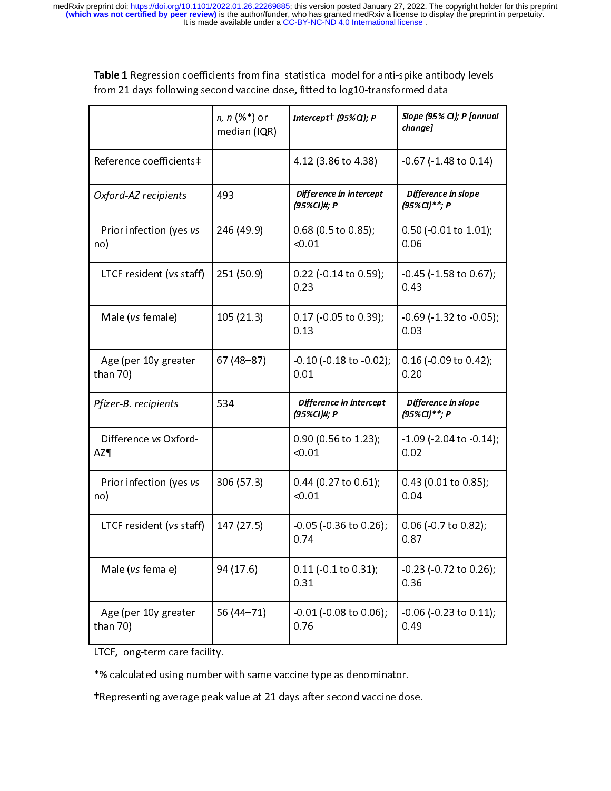It is made available under a [CC-BY-NC-ND 4.0 International license](http://creativecommons.org/licenses/by-nc-nd/4.0/) . medRxiv preprint doi: [https://doi.org/10.1101/2022.01.26.22269885;](https://doi.org/10.1101/2022.01.26.22269885) this version posted January 27, 2022. The copyright holder for this preprint<br>(which was not certified by peer review) is the author/funder, who has granted

| Table 1 Regression coefficients from final statistical model for anti-spike antibody levels |  |
|---------------------------------------------------------------------------------------------|--|
| from 21 days following second vaccine dose, fitted to log10-transformed data                |  |

| <b>ADIC 1</b> INCRESSION COCHICICITIS TIONIT HIM SCANSCICAL HIOACT TOT AND SPINC ANDIDOUY ICVCIS<br>from 21 days following second vaccine dose, fitted to log10-transformed data |                                     |                                         |                                         |  |
|----------------------------------------------------------------------------------------------------------------------------------------------------------------------------------|-------------------------------------|-----------------------------------------|-----------------------------------------|--|
|                                                                                                                                                                                  | <i>n, n</i> (%*) or<br>median (IQR) | Intercept <sup>+</sup> (95% $Q$ ); P    | Slope (95% CI); P [annual<br>change]    |  |
| Reference coefficients‡                                                                                                                                                          |                                     | 4.12 (3.86 to 4.38)                     | $-0.67$ ( $-1.48$ to $0.14$ )           |  |
| Oxford-AZ recipients                                                                                                                                                             | 493                                 | Difference in intercept<br>(95%CI)#; P  | Difference in slope<br>(95%CI)**; P     |  |
| Prior infection (yes vs<br>no)                                                                                                                                                   | 246 (49.9)                          | $0.68$ (0.5 to 0.85);<br>< 0.01         | $0.50$ (-0.01 to 1.01);<br>0.06         |  |
| LTCF resident (vs staff)                                                                                                                                                         | 251 (50.9)                          | $0.22$ (-0.14 to 0.59);<br>0.23         | $-0.45$ ( $-1.58$ to $0.67$ );<br>0.43  |  |
| Male (vs female)                                                                                                                                                                 | 105(21.3)                           | $0.17$ (-0.05 to 0.39);<br>0.13         | $-0.69$ ( $-1.32$ to $-0.05$ );<br>0.03 |  |
| Age (per 10y greater<br>than 70)                                                                                                                                                 | 67 (48-87)                          | $-0.10$ ( $-0.18$ to $-0.02$ );<br>0.01 | $0.16$ (-0.09 to 0.42);<br>0.20         |  |
| Pfizer-B. recipients                                                                                                                                                             | 534                                 | Difference in intercept<br>(95%CI)#; P  | Difference in slope<br>(95%CI)**; P     |  |
| Difference vs Oxford-<br><b>AZ¶</b>                                                                                                                                              |                                     | $0.90$ (0.56 to 1.23);<br>< 0.01        | $-1.09$ ( $-2.04$ to $-0.14$ );<br>0.02 |  |
| Prior infection (yes vs<br>no)                                                                                                                                                   | 306 (57.3)                          | 0.44 (0.27 to 0.61);<br>< 0.01          | 0.43 (0.01 to 0.85);<br>0.04            |  |
| LTCF resident (vs staff)                                                                                                                                                         | 147(27.5)                           | $-0.05$ (-0.36 to 0.26);<br>0.74        | 0.06 (-0.7 to 0.82);<br>0.87            |  |
| Male (vs female)                                                                                                                                                                 | 94 (17.6)                           | $0.11$ ( $-0.1$ to $0.31$ );<br>0.31    | $-0.23$ ( $-0.72$ to $0.26$ );<br>0.36  |  |
| Age (per 10y greater<br>than 70)                                                                                                                                                 | 56 (44 - 71)                        | $-0.01$ ( $-0.08$ to $0.06$ );<br>0.76  | $-0.06$ ( $-0.23$ to $0.11$ );<br>0.49  |  |
| LTCF, long-term care facility.                                                                                                                                                   |                                     |                                         |                                         |  |
| *% calculated using number with same vaccine type as denominator.                                                                                                                |                                     |                                         |                                         |  |
| tRepresenting average peak value at 21 days after second vaccine dose.                                                                                                           |                                     |                                         |                                         |  |
|                                                                                                                                                                                  |                                     |                                         |                                         |  |

LTCF, long-term care facility.<br>\*% calculated using number<br>TRepresenting average peak

\*% calculated using number with same vaccine type as denominator. †Representing average peak value at 21 days after second vaccine dose.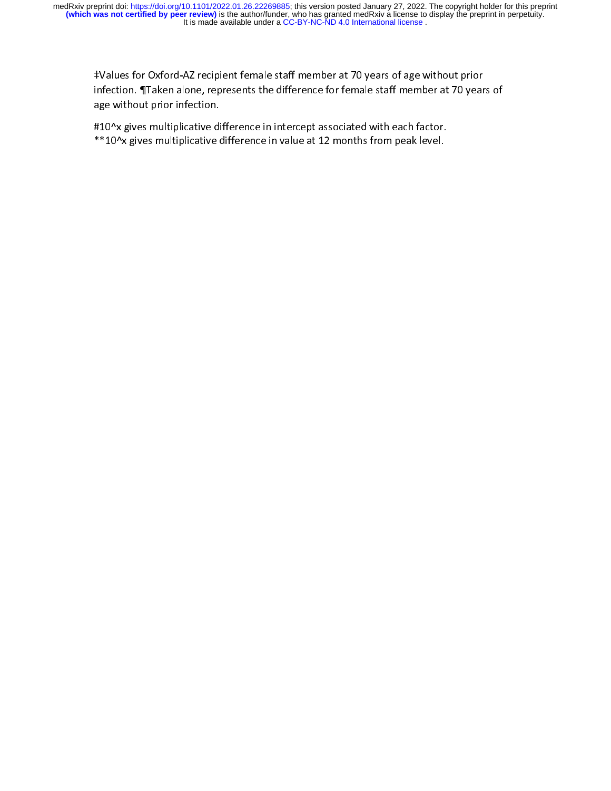It is made available under a [CC-BY-NC-ND 4.0 International license](http://creativecommons.org/licenses/by-nc-nd/4.0/) . medRxiv preprint doi: [https://doi.org/10.1101/2022.01.26.22269885;](https://doi.org/10.1101/2022.01.26.22269885) this version posted January 27, 2022. The copyright holder for this preprint<br>(which was not certified by peer review) is the author/funder, who has granted

infection. ¶Taken alone, represents the difference for female staff member at 70 year<br>age without prior infection.<br>#10^x gives multiplicative difference in intercept associated with each factor.<br>\*\*10^x gives multiplicativ

age without prior infection.<br>#10^x gives multiplicative difference in intercept associated with each factor.<br>\*\*10^x gives multiplicative difference in value at 12 months from peak level. age without the financies of the financies of the state of the state of the state of the state of the state of the state of the state of the state of the state of the state of the state of the state of the state of the sta \*\*10^x gives multiplicative difference in value at 12 months from peak level.  $\frac{1}{2}$  gives multiplies multiplies multiplicative difference in value at 12  $\pm$